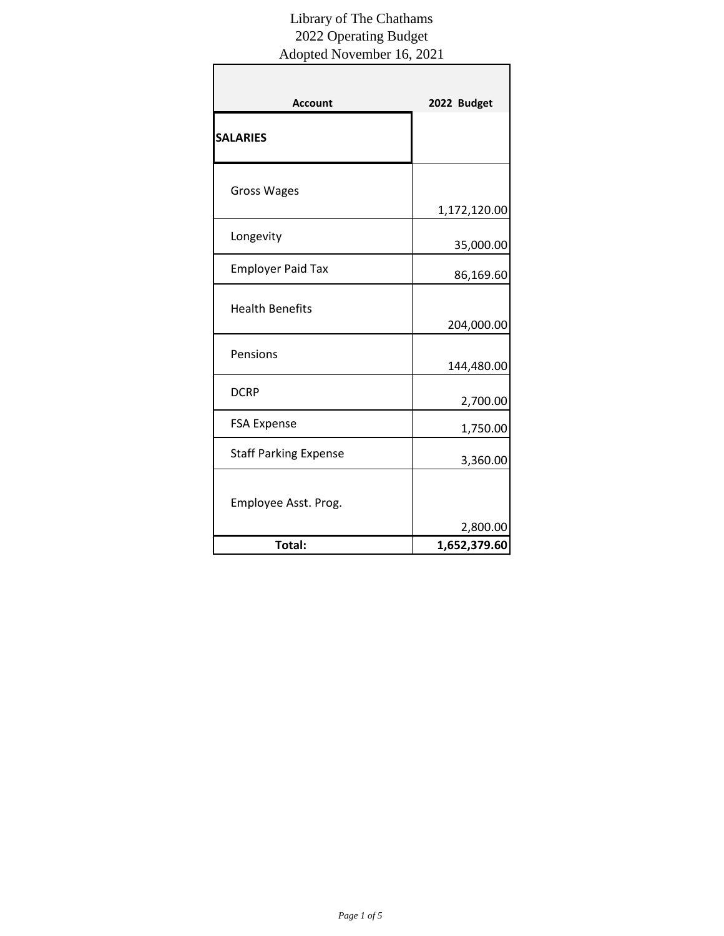| <b>Account</b>               | 2022 Budget               |
|------------------------------|---------------------------|
| <b>SALARIES</b>              |                           |
| <b>Gross Wages</b>           |                           |
| Longevity                    | 1,172,120.00<br>35,000.00 |
| <b>Employer Paid Tax</b>     | 86,169.60                 |
| <b>Health Benefits</b>       | 204,000.00                |
| Pensions                     | 144,480.00                |
| <b>DCRP</b>                  | 2,700.00                  |
| <b>FSA Expense</b>           | 1,750.00                  |
| <b>Staff Parking Expense</b> | 3,360.00                  |
| Employee Asst. Prog.         | 2,800.00                  |
| Total:                       | 1,652,379.60              |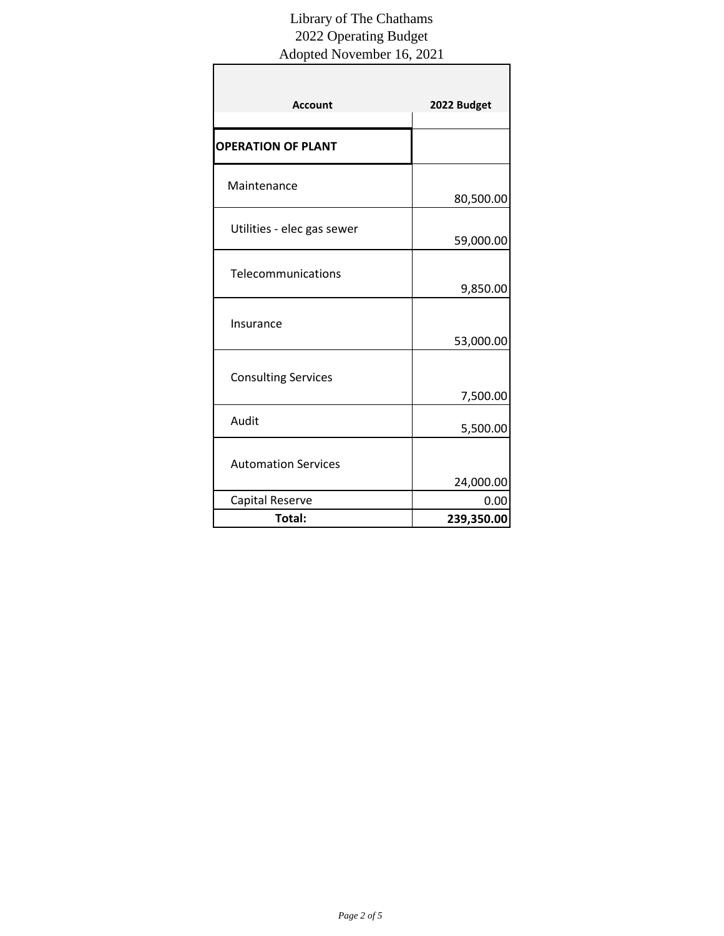| <b>Account</b>             | 2022 Budget          |
|----------------------------|----------------------|
| <b>OPERATION OF PLANT</b>  |                      |
| Maintenance                | 80,500.00            |
| Utilities - elec gas sewer | 59,000.00            |
| Telecommunications         | 9,850.00             |
| Insurance                  | 53,000.00            |
| <b>Consulting Services</b> |                      |
| Audit                      | 7,500.00<br>5,500.00 |
| <b>Automation Services</b> |                      |
|                            | 24,000.00            |
| Capital Reserve            | 0.00                 |
| Total:                     | 239,350.00           |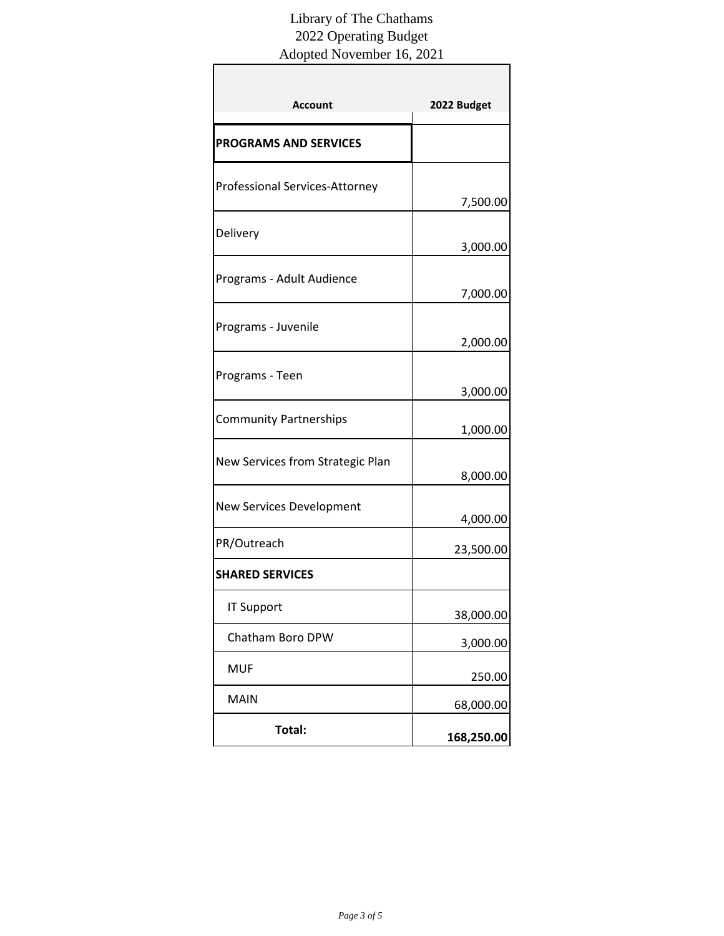| <b>Account</b>                        | 2022 Budget |
|---------------------------------------|-------------|
| <b>PROGRAMS AND SERVICES</b>          |             |
| <b>Professional Services-Attorney</b> | 7,500.00    |
| Delivery                              | 3,000.00    |
| Programs - Adult Audience             | 7,000.00    |
| Programs - Juvenile                   | 2,000.00    |
| Programs - Teen                       | 3,000.00    |
| <b>Community Partnerships</b>         | 1,000.00    |
| New Services from Strategic Plan      | 8,000.00    |
| <b>New Services Development</b>       | 4,000.00    |
| PR/Outreach                           | 23,500.00   |
| <b>SHARED SERVICES</b>                |             |
| <b>IT Support</b>                     | 38,000.00   |
| Chatham Boro DPW                      | 3,000.00    |
| <b>MUF</b>                            | 250.00      |
| <b>MAIN</b>                           | 68,000.00   |
| Total:                                | 168,250.00  |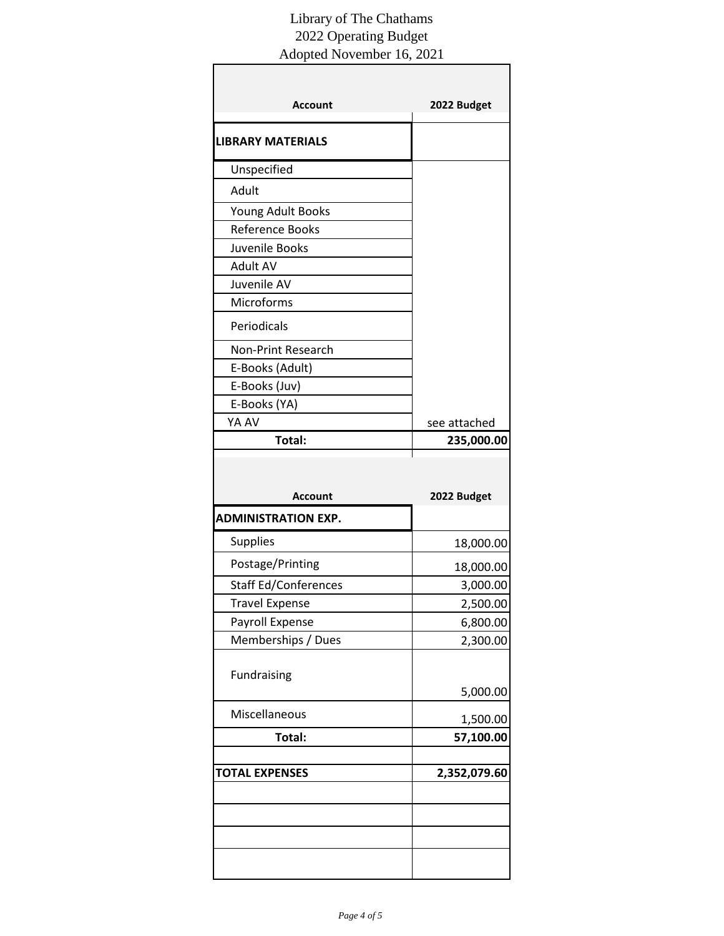| <b>Account</b>              | 2022 Budget                                                                                    |
|-----------------------------|------------------------------------------------------------------------------------------------|
| <b>LIBRARY MATERIALS</b>    |                                                                                                |
| Unspecified                 |                                                                                                |
| Adult                       |                                                                                                |
| Young Adult Books           |                                                                                                |
| <b>Reference Books</b>      |                                                                                                |
| Juvenile Books              |                                                                                                |
| <b>Adult AV</b>             |                                                                                                |
| Juvenile AV                 |                                                                                                |
| Microforms                  |                                                                                                |
| Periodicals                 |                                                                                                |
| <b>Non-Print Research</b>   |                                                                                                |
| E-Books (Adult)             |                                                                                                |
| E-Books (Juv)               |                                                                                                |
| E-Books (YA)                |                                                                                                |
| YA AV                       | see attached                                                                                   |
| Total:                      | 235,000.00                                                                                     |
| <b>Account</b>              | 2022 Budget                                                                                    |
| <b>ADMINISTRATION EXP.</b>  |                                                                                                |
|                             |                                                                                                |
| Supplies                    |                                                                                                |
| Postage/Printing            |                                                                                                |
| <b>Staff Ed/Conferences</b> |                                                                                                |
| <b>Travel Expense</b>       |                                                                                                |
| Payroll Expense             |                                                                                                |
| Memberships / Dues          |                                                                                                |
|                             |                                                                                                |
| Fundraising                 |                                                                                                |
| Miscellaneous               | 18,000.00<br>18,000.00<br>3,000.00<br>2,500.00<br>6,800.00<br>2,300.00<br>5,000.00<br>1,500.00 |
| Total:                      |                                                                                                |
| <b>TOTAL EXPENSES</b>       |                                                                                                |
|                             | 57,100.00<br>2,352,079.60                                                                      |